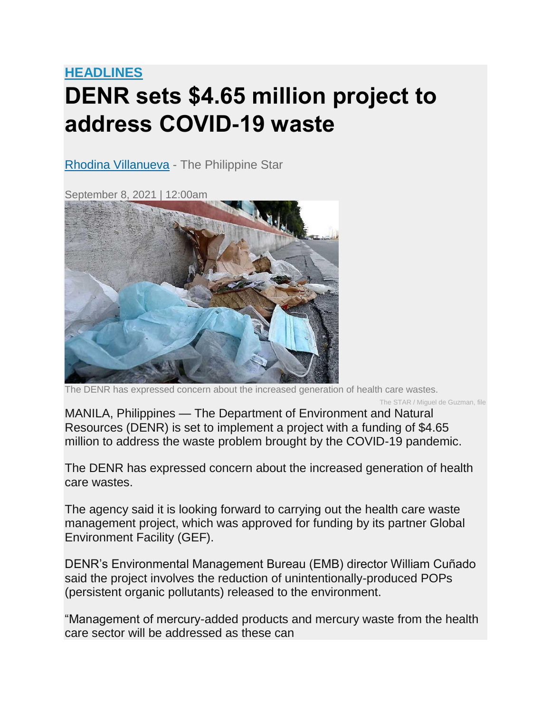## **[HEADLINES](https://www.philstar.com/headlines) DENR sets \$4.65 million project to address COVID-19 waste**

[Rhodina Villanueva](https://www.philstar.com/authors/1685860/rhodina-villanueva) - The Philippine Star

September 8, 2021 | 12:00am



The DENR has expressed concern about the increased generation of health care wastes.

The STAR / Miguel de Guzman, file

MANILA, Philippines — The Department of Environment and Natural Resources (DENR) is set to implement a project with a funding of \$4.65 million to address the waste problem brought by the COVID-19 pandemic.

The DENR has expressed concern about the increased generation of health care wastes.

The agency said it is looking forward to carrying out the health care waste management project, which was approved for funding by its partner Global Environment Facility (GEF).

DENR's Environmental Management Bureau (EMB) director William Cuñado said the project involves the reduction of unintentionally-produced POPs (persistent organic pollutants) released to the environment.

"Management of mercury-added products and mercury waste from the health care sector will be addressed as these can